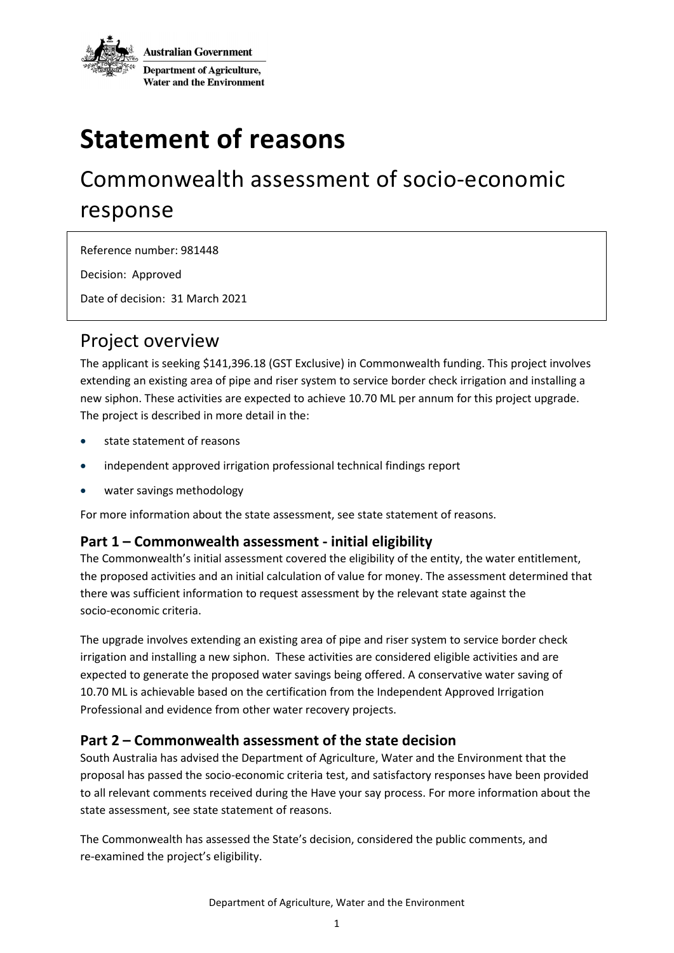

# **Statement of reasons**

## Commonwealth assessment of socio-economic response

Reference number: 981448

Decision: Approved

Date of decision: 31 March 2021

### Project overview

The applicant is seeking \$141,396.18 (GST Exclusive) in Commonwealth funding. This project involves extending an existing area of pipe and riser system to service border check irrigation and installing a new siphon. These activities are expected to achieve 10.70 ML per annum for this project upgrade. The project is described in more detail in the:

- state statement of reasons
- independent approved irrigation professional technical findings report
- water savings methodology

For more information about the state assessment, see state statement of reasons.

#### **Part 1 – Commonwealth assessment - initial eligibility**

The Commonwealth's initial assessment covered the eligibility of the entity, the water entitlement, the proposed activities and an initial calculation of value for money. The assessment determined that there was sufficient information to request assessment by the relevant state against the socio-economic criteria.

The upgrade involves extending an existing area of pipe and riser system to service border check irrigation and installing a new siphon. These activities are considered eligible activities and are expected to generate the proposed water savings being offered. A conservative water saving of 10.70 ML is achievable based on the certification from the Independent Approved Irrigation Professional and evidence from other water recovery projects.

#### **Part 2 – Commonwealth assessment of the state decision**

South Australia has advised the Department of Agriculture, Water and the Environment that the proposal has passed the socio-economic criteria test, and satisfactory responses have been provided to all relevant comments received during the Have your say process. For more information about the state assessment, see state statement of reasons.

The Commonwealth has assessed the State's decision, considered the public comments, and re-examined the project's eligibility.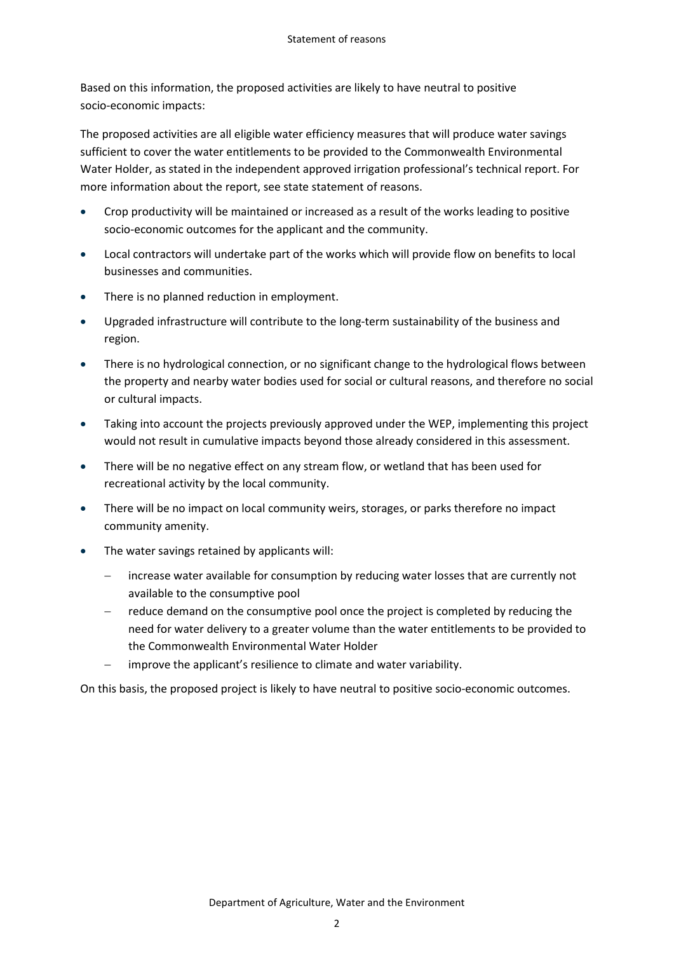Based on this information, the proposed activities are likely to have neutral to positive socio-economic impacts:

The proposed activities are all eligible water efficiency measures that will produce water savings sufficient to cover the water entitlements to be provided to the Commonwealth Environmental Water Holder, as stated in the independent approved irrigation professional's technical report. For more information about the report, see state statement of reasons.

- Crop productivity will be maintained or increased as a result of the works leading to positive socio-economic outcomes for the applicant and the community.
- Local contractors will undertake part of the works which will provide flow on benefits to local businesses and communities.
- There is no planned reduction in employment.
- Upgraded infrastructure will contribute to the long-term sustainability of the business and region.
- There is no hydrological connection, or no significant change to the hydrological flows between the property and nearby water bodies used for social or cultural reasons, and therefore no social or cultural impacts.
- Taking into account the projects previously approved under the WEP, implementing this project would not result in cumulative impacts beyond those already considered in this assessment.
- There will be no negative effect on any stream flow, or wetland that has been used for recreational activity by the local community.
- There will be no impact on local community weirs, storages, or parks therefore no impact community amenity.
- The water savings retained by applicants will:
	- increase water available for consumption by reducing water losses that are currently not available to the consumptive pool
	- reduce demand on the consumptive pool once the project is completed by reducing the need for water delivery to a greater volume than the water entitlements to be provided to the Commonwealth Environmental Water Holder
	- improve the applicant's resilience to climate and water variability.

On this basis, the proposed project is likely to have neutral to positive socio-economic outcomes.